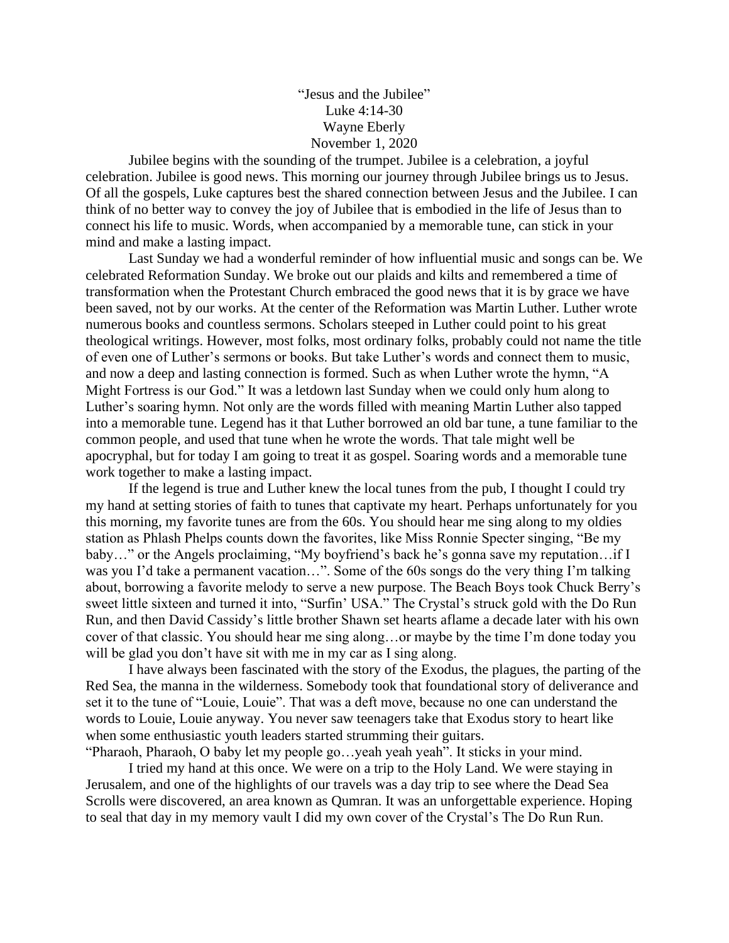## "Jesus and the Jubilee" Luke 4:14-30 Wayne Eberly November 1, 2020

Jubilee begins with the sounding of the trumpet. Jubilee is a celebration, a joyful celebration. Jubilee is good news. This morning our journey through Jubilee brings us to Jesus. Of all the gospels, Luke captures best the shared connection between Jesus and the Jubilee. I can think of no better way to convey the joy of Jubilee that is embodied in the life of Jesus than to connect his life to music. Words, when accompanied by a memorable tune, can stick in your mind and make a lasting impact.

Last Sunday we had a wonderful reminder of how influential music and songs can be. We celebrated Reformation Sunday. We broke out our plaids and kilts and remembered a time of transformation when the Protestant Church embraced the good news that it is by grace we have been saved, not by our works. At the center of the Reformation was Martin Luther. Luther wrote numerous books and countless sermons. Scholars steeped in Luther could point to his great theological writings. However, most folks, most ordinary folks, probably could not name the title of even one of Luther's sermons or books. But take Luther's words and connect them to music, and now a deep and lasting connection is formed. Such as when Luther wrote the hymn, "A Might Fortress is our God." It was a letdown last Sunday when we could only hum along to Luther's soaring hymn. Not only are the words filled with meaning Martin Luther also tapped into a memorable tune. Legend has it that Luther borrowed an old bar tune, a tune familiar to the common people, and used that tune when he wrote the words. That tale might well be apocryphal, but for today I am going to treat it as gospel. Soaring words and a memorable tune work together to make a lasting impact.

If the legend is true and Luther knew the local tunes from the pub, I thought I could try my hand at setting stories of faith to tunes that captivate my heart. Perhaps unfortunately for you this morning, my favorite tunes are from the 60s. You should hear me sing along to my oldies station as Phlash Phelps counts down the favorites, like Miss Ronnie Specter singing, "Be my baby…" or the Angels proclaiming, "My boyfriend's back he's gonna save my reputation…if I was you I'd take a permanent vacation…". Some of the 60s songs do the very thing I'm talking about, borrowing a favorite melody to serve a new purpose. The Beach Boys took Chuck Berry's sweet little sixteen and turned it into, "Surfin' USA." The Crystal's struck gold with the Do Run Run, and then David Cassidy's little brother Shawn set hearts aflame a decade later with his own cover of that classic. You should hear me sing along…or maybe by the time I'm done today you will be glad you don't have sit with me in my car as I sing along.

I have always been fascinated with the story of the Exodus, the plagues, the parting of the Red Sea, the manna in the wilderness. Somebody took that foundational story of deliverance and set it to the tune of "Louie, Louie". That was a deft move, because no one can understand the words to Louie, Louie anyway. You never saw teenagers take that Exodus story to heart like when some enthusiastic youth leaders started strumming their guitars.

"Pharaoh, Pharaoh, O baby let my people go…yeah yeah yeah". It sticks in your mind. I tried my hand at this once. We were on a trip to the Holy Land. We were staying in Jerusalem, and one of the highlights of our travels was a day trip to see where the Dead Sea Scrolls were discovered, an area known as Qumran. It was an unforgettable experience. Hoping to seal that day in my memory vault I did my own cover of the Crystal's The Do Run Run.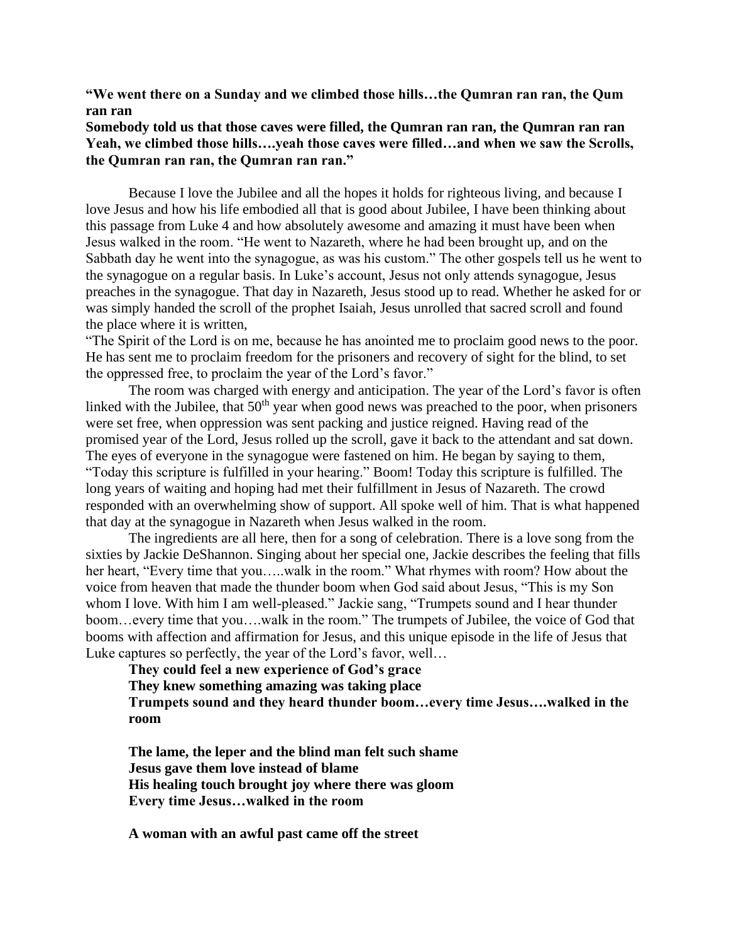## **"We went there on a Sunday and we climbed those hills…the Qumran ran ran, the Qum ran ran**

## **Somebody told us that those caves were filled, the Qumran ran ran, the Qumran ran ran Yeah, we climbed those hills….yeah those caves were filled…and when we saw the Scrolls, the Qumran ran ran, the Qumran ran ran."**

Because I love the Jubilee and all the hopes it holds for righteous living, and because I love Jesus and how his life embodied all that is good about Jubilee, I have been thinking about this passage from Luke 4 and how absolutely awesome and amazing it must have been when Jesus walked in the room. "He went to Nazareth, where he had been brought up, and on the Sabbath day he went into the synagogue, as was his custom." The other gospels tell us he went to the synagogue on a regular basis. In Luke's account, Jesus not only attends synagogue, Jesus preaches in the synagogue. That day in Nazareth, Jesus stood up to read. Whether he asked for or was simply handed the scroll of the prophet Isaiah, Jesus unrolled that sacred scroll and found the place where it is written,

"The Spirit of the Lord is on me, because he has anointed me to proclaim good news to the poor. He has sent me to proclaim freedom for the prisoners and recovery of sight for the blind, to set the oppressed free, to proclaim the year of the Lord's favor."

The room was charged with energy and anticipation. The year of the Lord's favor is often linked with the Jubilee, that  $50<sup>th</sup>$  year when good news was preached to the poor, when prisoners were set free, when oppression was sent packing and justice reigned. Having read of the promised year of the Lord, Jesus rolled up the scroll, gave it back to the attendant and sat down. The eyes of everyone in the synagogue were fastened on him. He began by saying to them, "Today this scripture is fulfilled in your hearing." Boom! Today this scripture is fulfilled. The long years of waiting and hoping had met their fulfillment in Jesus of Nazareth. The crowd responded with an overwhelming show of support. All spoke well of him. That is what happened that day at the synagogue in Nazareth when Jesus walked in the room.

The ingredients are all here, then for a song of celebration. There is a love song from the sixties by Jackie DeShannon. Singing about her special one, Jackie describes the feeling that fills her heart, "Every time that you…..walk in the room." What rhymes with room? How about the voice from heaven that made the thunder boom when God said about Jesus, "This is my Son whom I love. With him I am well-pleased." Jackie sang, "Trumpets sound and I hear thunder boom…every time that you….walk in the room." The trumpets of Jubilee, the voice of God that booms with affection and affirmation for Jesus, and this unique episode in the life of Jesus that Luke captures so perfectly, the year of the Lord's favor, well…

**They could feel a new experience of God's grace**

**They knew something amazing was taking place**

**Trumpets sound and they heard thunder boom…every time Jesus….walked in the room**

**The lame, the leper and the blind man felt such shame Jesus gave them love instead of blame His healing touch brought joy where there was gloom Every time Jesus…walked in the room**

**A woman with an awful past came off the street**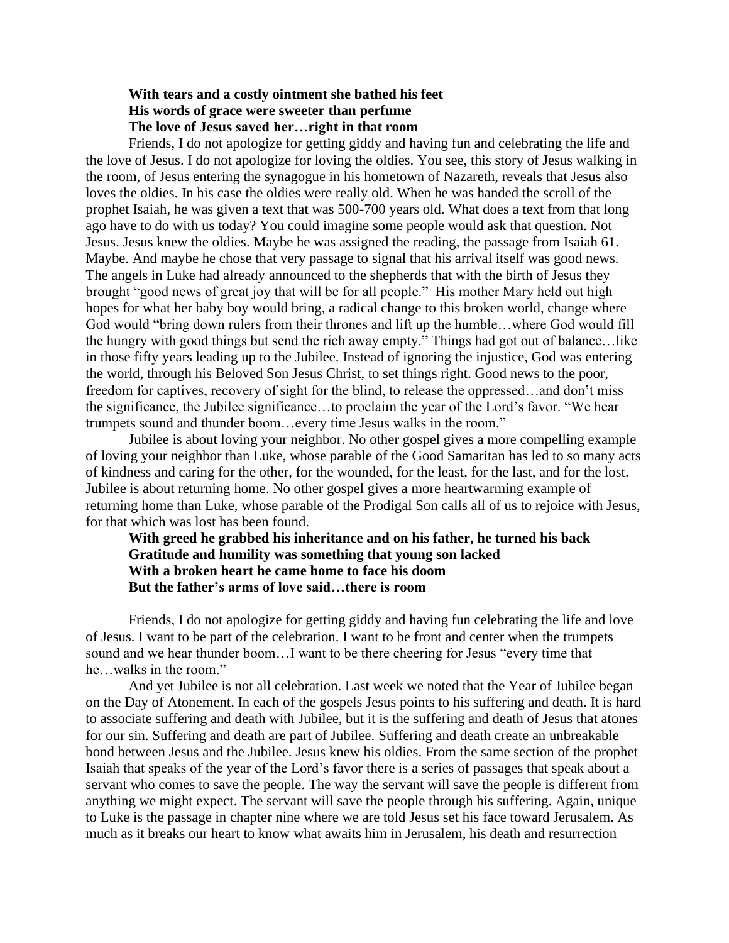## **With tears and a costly ointment she bathed his feet His words of grace were sweeter than perfume The love of Jesus saved her…right in that room**

Friends, I do not apologize for getting giddy and having fun and celebrating the life and the love of Jesus. I do not apologize for loving the oldies. You see, this story of Jesus walking in the room, of Jesus entering the synagogue in his hometown of Nazareth, reveals that Jesus also loves the oldies. In his case the oldies were really old. When he was handed the scroll of the prophet Isaiah, he was given a text that was 500-700 years old. What does a text from that long ago have to do with us today? You could imagine some people would ask that question. Not Jesus. Jesus knew the oldies. Maybe he was assigned the reading, the passage from Isaiah 61. Maybe. And maybe he chose that very passage to signal that his arrival itself was good news. The angels in Luke had already announced to the shepherds that with the birth of Jesus they brought "good news of great joy that will be for all people." His mother Mary held out high hopes for what her baby boy would bring, a radical change to this broken world, change where God would "bring down rulers from their thrones and lift up the humble…where God would fill the hungry with good things but send the rich away empty." Things had got out of balance…like in those fifty years leading up to the Jubilee. Instead of ignoring the injustice, God was entering the world, through his Beloved Son Jesus Christ, to set things right. Good news to the poor, freedom for captives, recovery of sight for the blind, to release the oppressed…and don't miss the significance, the Jubilee significance…to proclaim the year of the Lord's favor. "We hear trumpets sound and thunder boom…every time Jesus walks in the room."

Jubilee is about loving your neighbor. No other gospel gives a more compelling example of loving your neighbor than Luke, whose parable of the Good Samaritan has led to so many acts of kindness and caring for the other, for the wounded, for the least, for the last, and for the lost. Jubilee is about returning home. No other gospel gives a more heartwarming example of returning home than Luke, whose parable of the Prodigal Son calls all of us to rejoice with Jesus, for that which was lost has been found.

**With greed he grabbed his inheritance and on his father, he turned his back Gratitude and humility was something that young son lacked With a broken heart he came home to face his doom But the father's arms of love said…there is room**

Friends, I do not apologize for getting giddy and having fun celebrating the life and love of Jesus. I want to be part of the celebration. I want to be front and center when the trumpets sound and we hear thunder boom…I want to be there cheering for Jesus "every time that he…walks in the room."

And yet Jubilee is not all celebration. Last week we noted that the Year of Jubilee began on the Day of Atonement. In each of the gospels Jesus points to his suffering and death. It is hard to associate suffering and death with Jubilee, but it is the suffering and death of Jesus that atones for our sin. Suffering and death are part of Jubilee. Suffering and death create an unbreakable bond between Jesus and the Jubilee. Jesus knew his oldies. From the same section of the prophet Isaiah that speaks of the year of the Lord's favor there is a series of passages that speak about a servant who comes to save the people. The way the servant will save the people is different from anything we might expect. The servant will save the people through his suffering. Again, unique to Luke is the passage in chapter nine where we are told Jesus set his face toward Jerusalem. As much as it breaks our heart to know what awaits him in Jerusalem, his death and resurrection